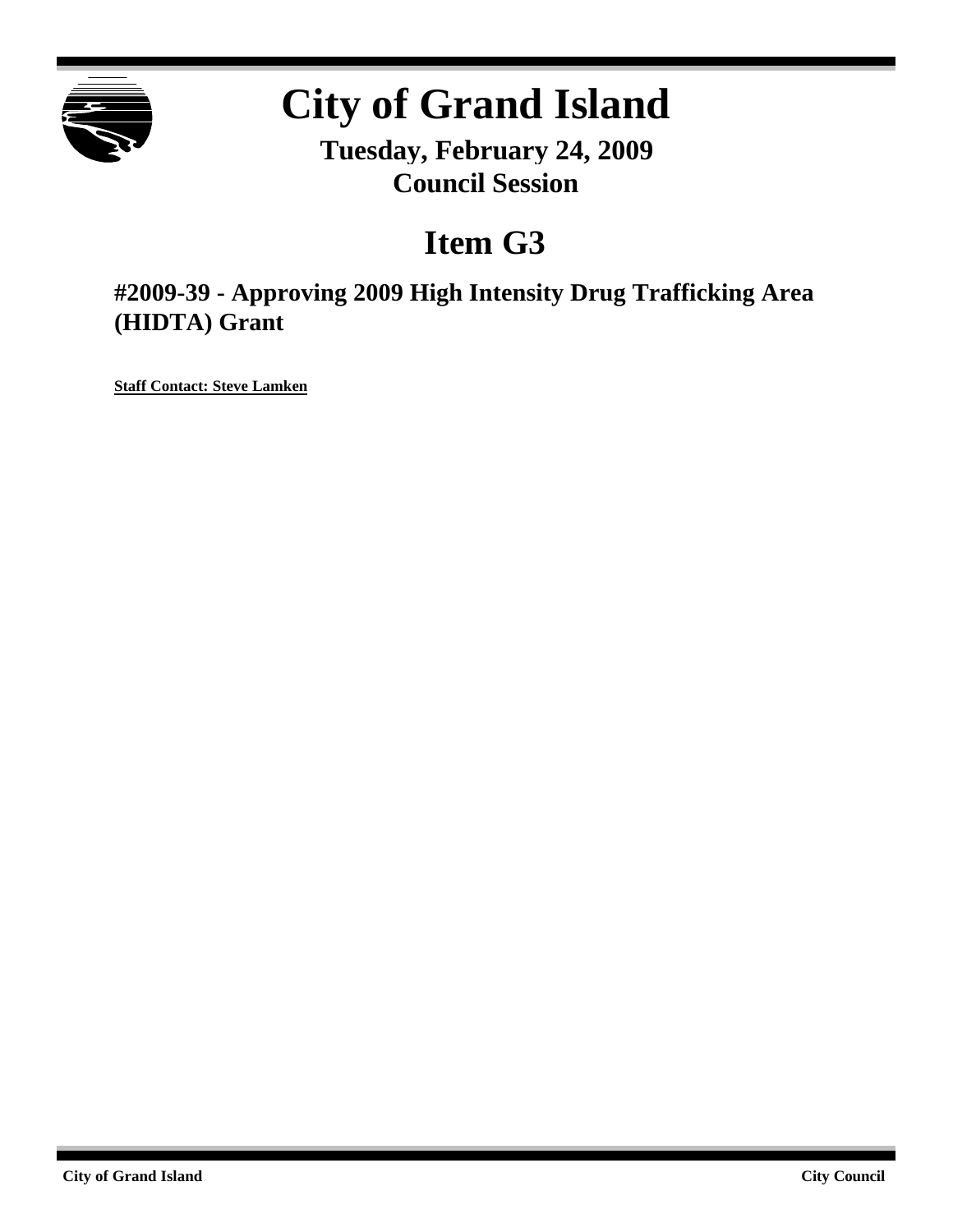

# **City of Grand Island**

**Tuesday, February 24, 2009 Council Session**

# **Item G3**

**#2009-39 - Approving 2009 High Intensity Drug Trafficking Area (HIDTA) Grant**

**Staff Contact: Steve Lamken**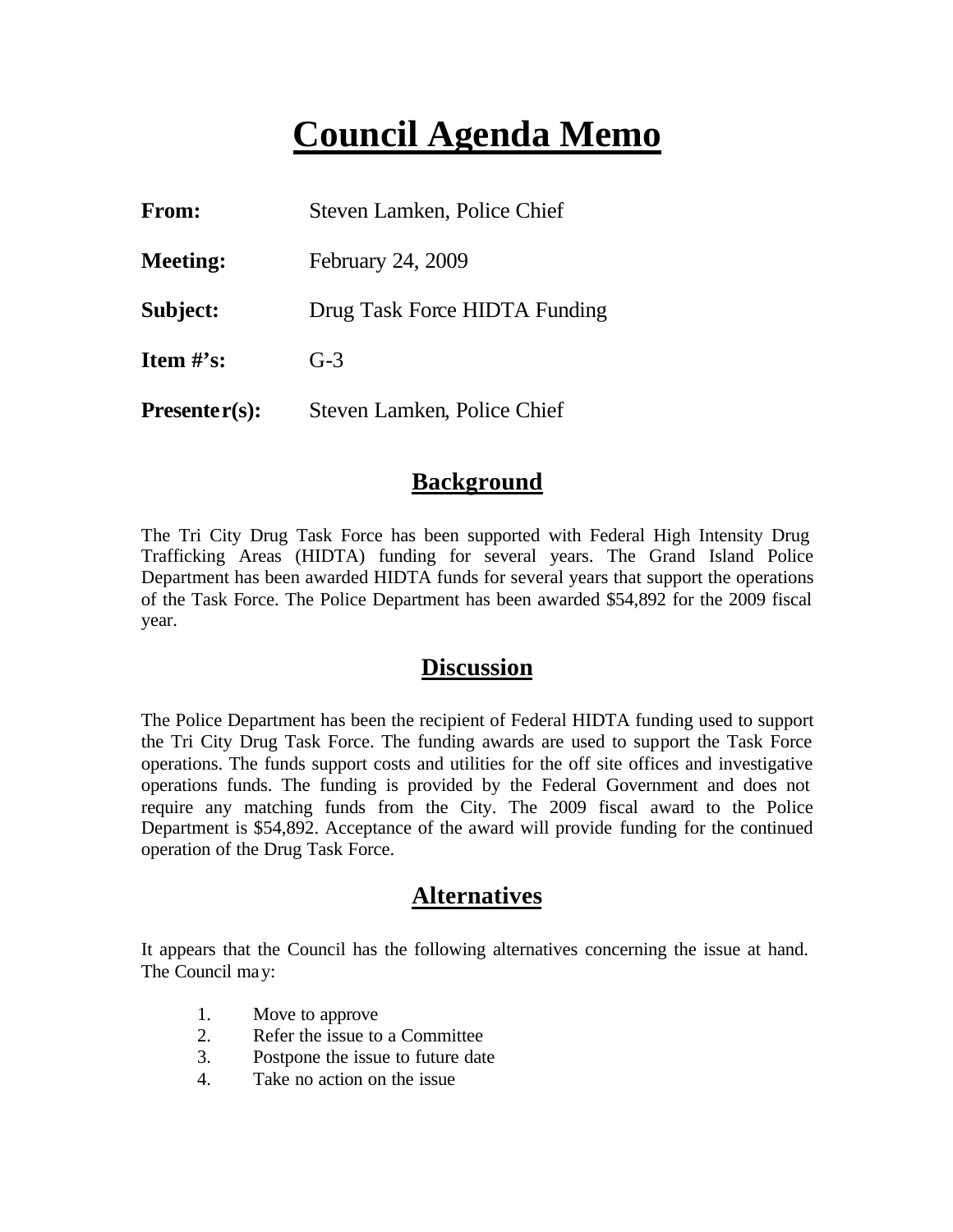## **Council Agenda Memo**

| From:           | Steven Lamken, Police Chief   |
|-----------------|-------------------------------|
| <b>Meeting:</b> | February 24, 2009             |
| Subject:        | Drug Task Force HIDTA Funding |
| Item $\#$ 's:   | $G-3$                         |
| $Presenter(s):$ | Steven Lamken, Police Chief   |

#### **Background**

The Tri City Drug Task Force has been supported with Federal High Intensity Drug Trafficking Areas (HIDTA) funding for several years. The Grand Island Police Department has been awarded HIDTA funds for several years that support the operations of the Task Force. The Police Department has been awarded \$54,892 for the 2009 fiscal year.

#### **Discussion**

The Police Department has been the recipient of Federal HIDTA funding used to support the Tri City Drug Task Force. The funding awards are used to support the Task Force operations. The funds support costs and utilities for the off site offices and investigative operations funds. The funding is provided by the Federal Government and does not require any matching funds from the City. The 2009 fiscal award to the Police Department is \$54,892. Acceptance of the award will provide funding for the continued operation of the Drug Task Force.

#### **Alternatives**

It appears that the Council has the following alternatives concerning the issue at hand. The Council may:

- 1. Move to approve
- 2. Refer the issue to a Committee
- 3. Postpone the issue to future date
- 4. Take no action on the issue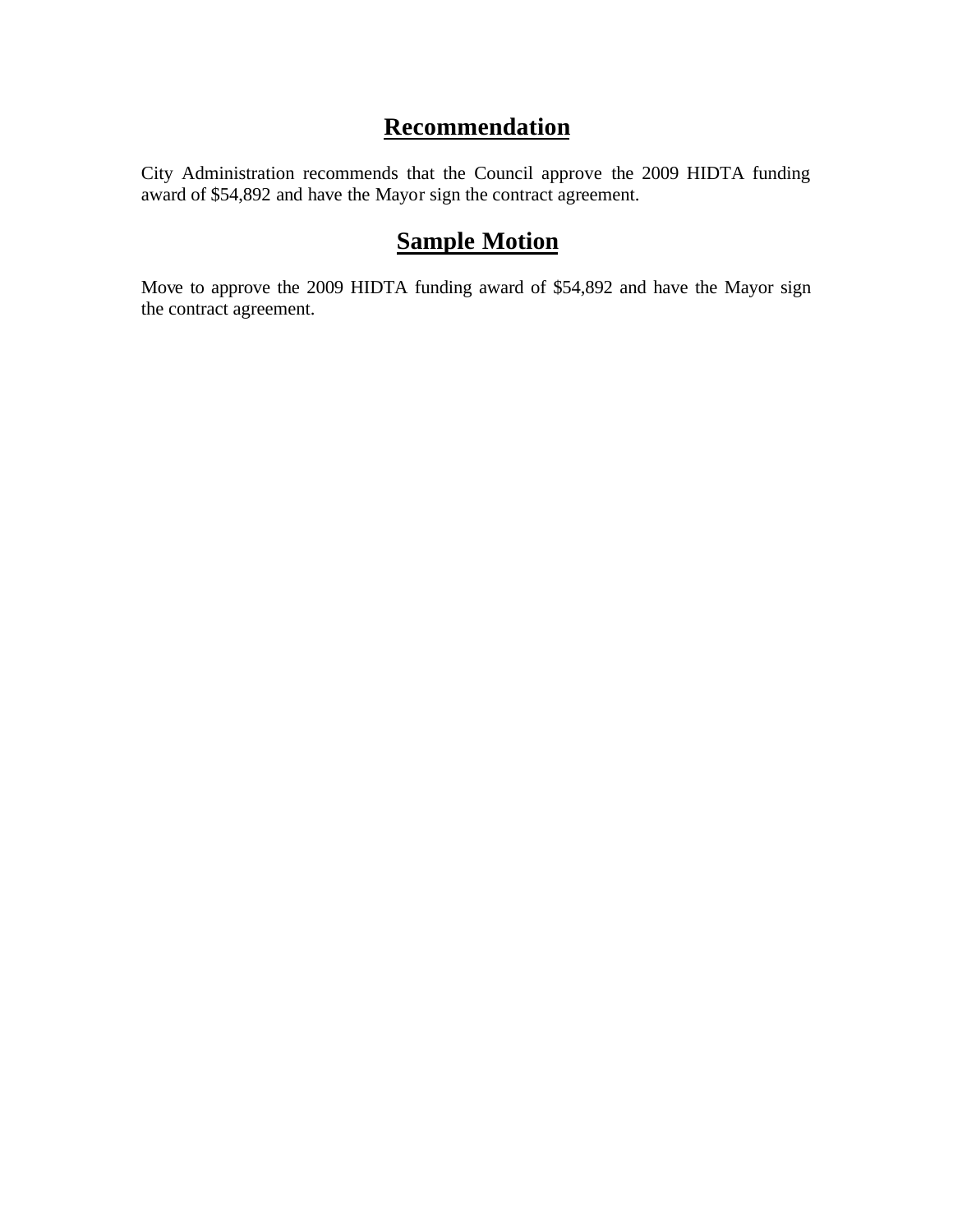### **Recommendation**

City Administration recommends that the Council approve the 2009 HIDTA funding award of \$54,892 and have the Mayor sign the contract agreement.

### **Sample Motion**

Move to approve the 2009 HIDTA funding award of \$54,892 and have the Mayor sign the contract agreement.